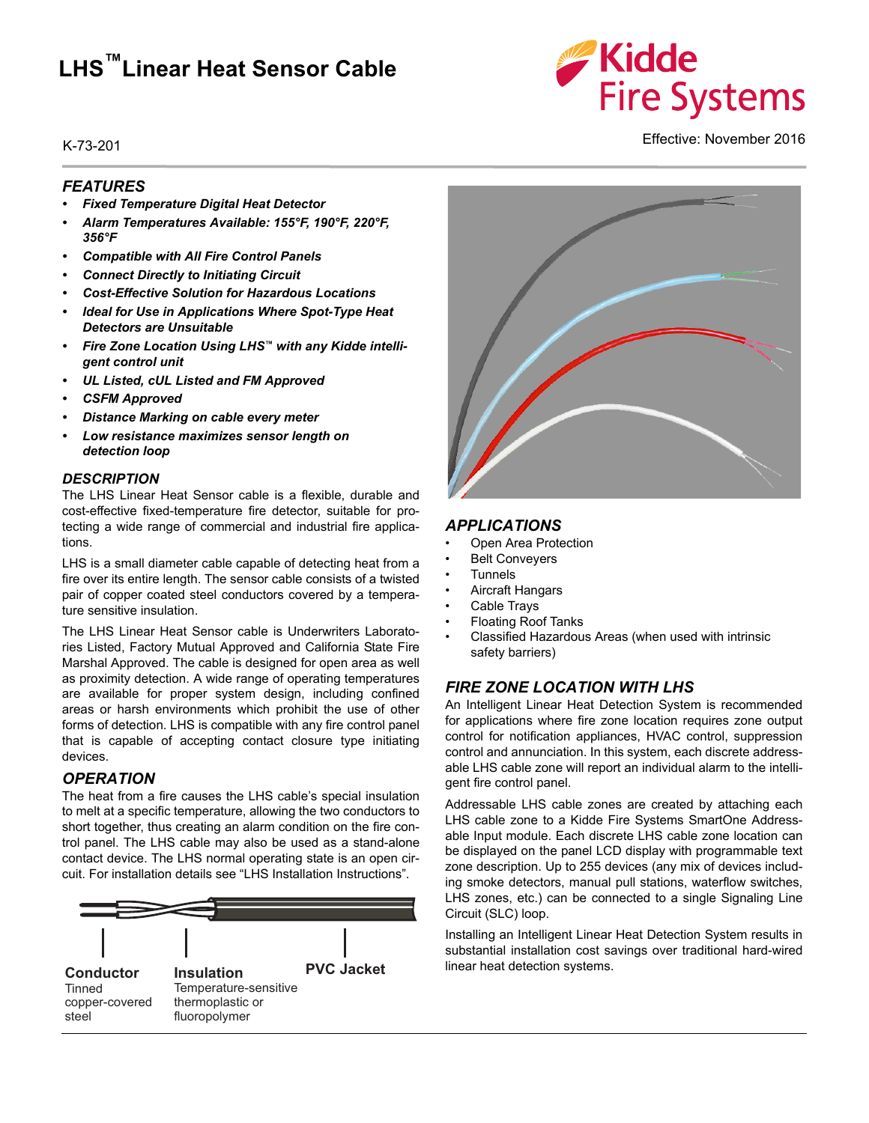# **LHS™Linear Heat Sensor Cable**

# **Kidde Fire Systems**

Effective: November 2016 K-73-201

#### *FEATURES*

- *Fixed Temperature Digital Heat Detector*
- *Alarm Temperatures Available: 155°F, 190°F, 220°F, 356°F*
- *Compatible with All Fire Control Panels*
- *Connect Directly to Initiating Circuit*
- *Cost-Effective Solution for Hazardous Locations*
- *Ideal for Use in Applications Where Spot-Type Heat Detectors are Unsuitable*
- *Fire Zone Location Using LHS™ with any Kidde intelligent control unit*
- *UL Listed, cUL Listed and FM Approved*
- *CSFM Approved*
- *Distance Marking on cable every meter*
- *Low resistance maximizes sensor length on detection loop*

#### *DESCRIPTION*

The LHS Linear Heat Sensor cable is a flexible, durable and cost-effective fixed-temperature fire detector, suitable for protecting a wide range of commercial and industrial fire applications.

LHS is a small diameter cable capable of detecting heat from a fire over its entire length. The sensor cable consists of a twisted pair of copper coated steel conductors covered by a temperature sensitive insulation.

The LHS Linear Heat Sensor cable is Underwriters Laboratories Listed, Factory Mutual Approved and California State Fire Marshal Approved. The cable is designed for open area as well as proximity detection. A wide range of operating temperatures are available for proper system design, including confined areas or harsh environments which prohibit the use of other forms of detection. LHS is compatible with any fire control panel that is capable of accepting contact closure type initiating devices.

#### *OPERATION*

The heat from a fire causes the LHS cable's special insulation to melt at a specific temperature, allowing the two conductors to short together, thus creating an alarm condition on the fire control panel. The LHS cable may also be used as a stand-alone contact device. The LHS normal operating state is an open circuit. For installation details see "LHS Installation Instructions".





#### *APPLICATIONS*

- Open Area Protection
- **Belt Conveyers**
- Tunnels
- Aircraft Hangars
- Cable Trays
- Floating Roof Tanks
- Classified Hazardous Areas (when used with intrinsic safety barriers)

### *FIRE ZONE LOCATION WITH LHS*

An Intelligent Linear Heat Detection System is recommended for applications where fire zone location requires zone output control for notification appliances, HVAC control, suppression control and annunciation. In this system, each discrete addressable LHS cable zone will report an individual alarm to the intelligent fire control panel.

Addressable LHS cable zones are created by attaching each LHS cable zone to a Kidde Fire Systems SmartOne Addressable Input module. Each discrete LHS cable zone location can be displayed on the panel LCD display with programmable text zone description. Up to 255 devices (any mix of devices including smoke detectors, manual pull stations, waterflow switches, LHS zones, etc.) can be connected to a single Signaling Line Circuit (SLC) loop.

Installing an Intelligent Linear Heat Detection System results in substantial installation cost savings over traditional hard-wired